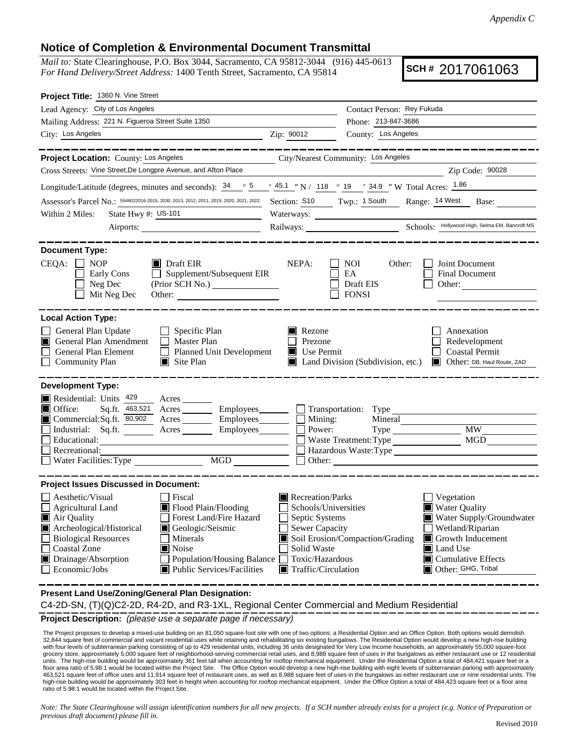## **Notice of Completion & Environmental Document Transmittal**

*Mail to:* State Clearinghouse, P.O. Box 3044, Sacramento, CA 95812-3044 (916) 445-0613 *For Hand Delivery/Street Address:* 1400 Tenth Street, Sacramento, CA 95814

**SCH #** 2017061063

|                                                                                                                                                                                                                                                                               | Contact Person: Rey Fukuda                                                                                                                                                                                         |  |  |  |
|-------------------------------------------------------------------------------------------------------------------------------------------------------------------------------------------------------------------------------------------------------------------------------|--------------------------------------------------------------------------------------------------------------------------------------------------------------------------------------------------------------------|--|--|--|
|                                                                                                                                                                                                                                                                               | Phone: 213-847-3686                                                                                                                                                                                                |  |  |  |
| Zip: 90012                                                                                                                                                                                                                                                                    | County: Los Angeles                                                                                                                                                                                                |  |  |  |
|                                                                                                                                                                                                                                                                               |                                                                                                                                                                                                                    |  |  |  |
| Project Location: County: Los Angeles<br>City/Nearest Community: Los Angeles                                                                                                                                                                                                  |                                                                                                                                                                                                                    |  |  |  |
| Cross Streets: Vine Street, De Longpre Avenue, and Afton Place<br>Zip Code: 90028                                                                                                                                                                                             |                                                                                                                                                                                                                    |  |  |  |
| Longitude/Latitude (degrees, minutes and seconds): $\frac{34}{5}$ $\frac{5}{5}$ $\frac{145.1}{10}$ N / 118 $\degree$ 19 $\degree$ 34.9 $\degree$ W Total Acres: $\frac{1.86}{1.86}$<br>Assessor's Parcel No.: 5546022016-2015, 2030, 2013, 2012, 2011, 2019, 2020, 2021, 2022 |                                                                                                                                                                                                                    |  |  |  |
|                                                                                                                                                                                                                                                                               | Section: S10 Twp.: 1 South Range: 14 West<br>Base:                                                                                                                                                                 |  |  |  |
|                                                                                                                                                                                                                                                                               |                                                                                                                                                                                                                    |  |  |  |
|                                                                                                                                                                                                                                                                               | Railways: Schools: Hollywood High, Selma EM, Bancroft MS                                                                                                                                                           |  |  |  |
| NEPA:<br>$\Box$ Supplement/Subsequent EIR                                                                                                                                                                                                                                     | <b>NOI</b><br>Other:<br>Joint Document<br>EA<br><b>Final Document</b><br>Draft EIS<br>Other:<br><b>FONSI</b>                                                                                                       |  |  |  |
| Rezone<br>Prezone<br>Planned Unit Development<br>$\blacksquare$ Use Permit                                                                                                                                                                                                    | Annexation<br>Redevelopment<br><b>Coastal Permit</b><br>Land Division (Subdivision, etc.)<br>Other: DB, Haul Route, ZAD<br>HE I                                                                                    |  |  |  |
| $\Box$ Mining:<br>Commercial:Sq.ft. 80,902 Acres _______ Employees_______<br>Power:<br>Acres Employees                                                                                                                                                                        | Transportation: Type<br>Mineral<br><b>MW</b><br>MGD<br>Waste Treatment: Type                                                                                                                                       |  |  |  |
| Recreation/Parks<br>Schools/Universities<br>Septic Systems<br>Sewer Capacity<br>Solid Waste<br><b>Population/Housing Balance</b><br>Toxic/Hazardous<br>$\blacksquare$ Traffic/Circulation                                                                                     | Vegetation<br><b>Water Quality</b><br>Water Supply/Groundwater<br>Wetland/Riparian<br>Soil Erosion/Compaction/Grading<br>Growth Inducement<br><b>I</b> Land Use<br>$\Box$ Cumulative Effects<br>Other: GHG, Tribal |  |  |  |
|                                                                                                                                                                                                                                                                               |                                                                                                                                                                                                                    |  |  |  |

**Present Land Use/Zoning/General Plan Designation:**

C4-2D-SN, (T)(Q)C2-2D, R4-2D, and R3-1XL, Regional Center Commercial and Medium Residential

**Project Description:** *(please use a separate page if necessary)*

 The Project proposes to develop a mixed-use building on an 81,050 square-foot site with one of two options: a Residential Option and an Office Option. Both options would demolish 32,844 square feet of commercial and vacant residential uses while retaining and rehabilitating six existing bungalows. The Residential Option would develop a new high-rise building with four levels of subterranean parking consisting of up to 429 residential units, including 36 units designated for Very Low Income households, an approximately 55,000 square-foot grocery store, approximately 5,000 square feet of neighborhood-serving commercial retail uses, and 8,988 square feet of uses in the bungalows as either restaurant use or 12 residential units. The high-rise building would be approximately 361 feet tall when accounting for rooftop mechanical equipment. Under the Residential Option a total of 484,421 square feet or a<br>floor area ratio of 5.98:1 would be loca 463,521 square feet of office uses and 11,914 square feet of restaurant uses, as well as 8,988 square feet of uses in the bungalows as either restaurant use or nine residential units. The high-rise building would be approximately 303 feet in height when accounting for rooftop mechanical equipment. Under the Office Option a total of 484,423 square feet or a floor area ratio of 5.98:1 would be located within the Project Site.

*Note: The State Clearinghouse will assign identification numbers for all new projects. If a SCH number already exists for a project (e.g. Notice of Preparation or previous draft document) please fill in.*